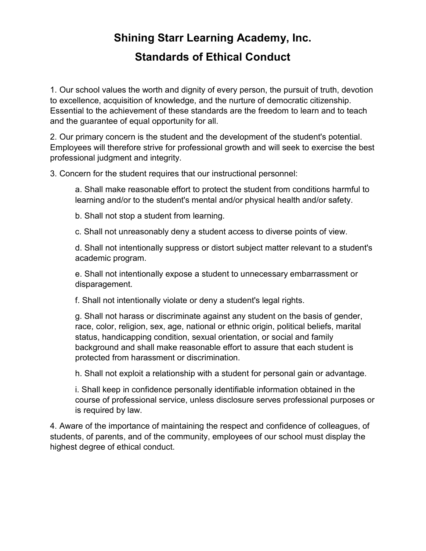# Shining Starr Learning Academy, Inc. Standards of Ethical Conduct

1. Our school values the worth and dignity of every person, the pursuit of truth, devotion to excellence, acquisition of knowledge, and the nurture of democratic citizenship. Essential to the achievement of these standards are the freedom to learn and to teach and the guarantee of equal opportunity for all.

2. Our primary concern is the student and the development of the student's potential. Employees will therefore strive for professional growth and will seek to exercise the best professional judgment and integrity.

3. Concern for the student requires that our instructional personnel:

 a. Shall make reasonable effort to protect the student from conditions harmful to learning and/or to the student's mental and/or physical health and/or safety.

b. Shall not stop a student from learning.

c. Shall not unreasonably deny a student access to diverse points of view.

 d. Shall not intentionally suppress or distort subject matter relevant to a student's academic program.

 e. Shall not intentionally expose a student to unnecessary embarrassment or disparagement.

f. Shall not intentionally violate or deny a student's legal rights.

 g. Shall not harass or discriminate against any student on the basis of gender, race, color, religion, sex, age, national or ethnic origin, political beliefs, marital status, handicapping condition, sexual orientation, or social and family background and shall make reasonable effort to assure that each student is protected from harassment or discrimination.

h. Shall not exploit a relationship with a student for personal gain or advantage.

 i. Shall keep in confidence personally identifiable information obtained in the course of professional service, unless disclosure serves professional purposes or is required by law.

4. Aware of the importance of maintaining the respect and confidence of colleagues, of students, of parents, and of the community, employees of our school must display the highest degree of ethical conduct.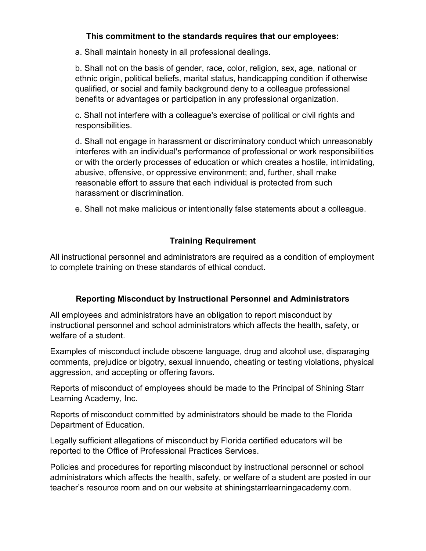## This commitment to the standards requires that our employees:

a. Shall maintain honesty in all professional dealings.

 b. Shall not on the basis of gender, race, color, religion, sex, age, national or ethnic origin, political beliefs, marital status, handicapping condition if otherwise qualified, or social and family background deny to a colleague professional benefits or advantages or participation in any professional organization.

 c. Shall not interfere with a colleague's exercise of political or civil rights and responsibilities.

 d. Shall not engage in harassment or discriminatory conduct which unreasonably interferes with an individual's performance of professional or work responsibilities or with the orderly processes of education or which creates a hostile, intimidating, abusive, offensive, or oppressive environment; and, further, shall make reasonable effort to assure that each individual is protected from such harassment or discrimination.

e. Shall not make malicious or intentionally false statements about a colleague.

# Training Requirement

All instructional personnel and administrators are required as a condition of employment to complete training on these standards of ethical conduct.

## Reporting Misconduct by Instructional Personnel and Administrators

All employees and administrators have an obligation to report misconduct by instructional personnel and school administrators which affects the health, safety, or welfare of a student.

Examples of misconduct include obscene language, drug and alcohol use, disparaging comments, prejudice or bigotry, sexual innuendo, cheating or testing violations, physical aggression, and accepting or offering favors.

Reports of misconduct of employees should be made to the Principal of Shining Starr Learning Academy, Inc.

Reports of misconduct committed by administrators should be made to the Florida Department of Education.

Legally sufficient allegations of misconduct by Florida certified educators will be reported to the Office of Professional Practices Services.

Policies and procedures for reporting misconduct by instructional personnel or school administrators which affects the health, safety, or welfare of a student are posted in our teacher's resource room and on our website at shiningstarrlearningacademy.com.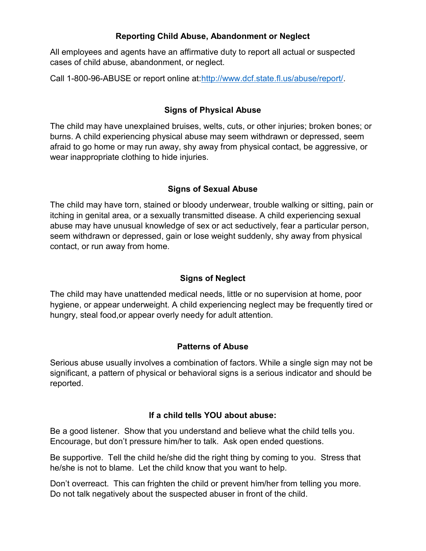## Reporting Child Abuse, Abandonment or Neglect

All employees and agents have an affirmative duty to report all actual or suspected cases of child abuse, abandonment, or neglect.

Call 1-800-96-ABUSE or report online at:http://www.dcf.state.fl.us/abuse/report/.

## Signs of Physical Abuse

The child may have unexplained bruises, welts, cuts, or other injuries; broken bones; or burns. A child experiencing physical abuse may seem withdrawn or depressed, seem afraid to go home or may run away, shy away from physical contact, be aggressive, or wear inappropriate clothing to hide injuries.

## Signs of Sexual Abuse

The child may have torn, stained or bloody underwear, trouble walking or sitting, pain or itching in genital area, or a sexually transmitted disease. A child experiencing sexual abuse may have unusual knowledge of sex or act seductively, fear a particular person, seem withdrawn or depressed, gain or lose weight suddenly, shy away from physical contact, or run away from home.

# Signs of Neglect

The child may have unattended medical needs, little or no supervision at home, poor hygiene, or appear underweight. A child experiencing neglect may be frequently tired or hungry, steal food,or appear overly needy for adult attention.

## Patterns of Abuse

Serious abuse usually involves a combination of factors. While a single sign may not be significant, a pattern of physical or behavioral signs is a serious indicator and should be reported.

## If a child tells YOU about abuse:

Be a good listener. Show that you understand and believe what the child tells you. Encourage, but don't pressure him/her to talk. Ask open ended questions.

Be supportive. Tell the child he/she did the right thing by coming to you. Stress that he/she is not to blame. Let the child know that you want to help.

Don't overreact. This can frighten the child or prevent him/her from telling you more. Do not talk negatively about the suspected abuser in front of the child.